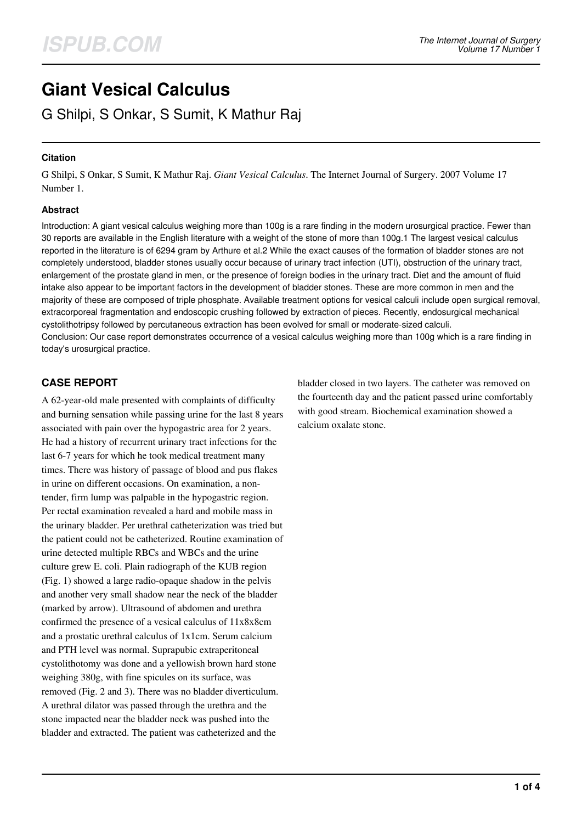# **Giant Vesical Calculus**

G Shilpi, S Onkar, S Sumit, K Mathur Raj

## **Citation**

G Shilpi, S Onkar, S Sumit, K Mathur Raj. *Giant Vesical Calculus*. The Internet Journal of Surgery. 2007 Volume 17 Number 1.

## **Abstract**

Introduction: A giant vesical calculus weighing more than 100g is a rare finding in the modern urosurgical practice. Fewer than 30 reports are available in the English literature with a weight of the stone of more than 100g.1 The largest vesical calculus reported in the literature is of 6294 gram by Arthure et al.2 While the exact causes of the formation of bladder stones are not completely understood, bladder stones usually occur because of urinary tract infection (UTI), obstruction of the urinary tract, enlargement of the prostate gland in men, or the presence of foreign bodies in the urinary tract. Diet and the amount of fluid intake also appear to be important factors in the development of bladder stones. These are more common in men and the majority of these are composed of triple phosphate. Available treatment options for vesical calculi include open surgical removal, extracorporeal fragmentation and endoscopic crushing followed by extraction of pieces. Recently, endosurgical mechanical cystolithotripsy followed by percutaneous extraction has been evolved for small or moderate-sized calculi. Conclusion: Our case report demonstrates occurrence of a vesical calculus weighing more than 100g which is a rare finding in today's urosurgical practice.

# **CASE REPORT**

A 62-year-old male presented with complaints of difficulty and burning sensation while passing urine for the last 8 years associated with pain over the hypogastric area for 2 years. He had a history of recurrent urinary tract infections for the last 6-7 years for which he took medical treatment many times. There was history of passage of blood and pus flakes in urine on different occasions. On examination, a nontender, firm lump was palpable in the hypogastric region. Per rectal examination revealed a hard and mobile mass in the urinary bladder. Per urethral catheterization was tried but the patient could not be catheterized. Routine examination of urine detected multiple RBCs and WBCs and the urine culture grew E. coli. Plain radiograph of the KUB region (Fig. 1) showed a large radio-opaque shadow in the pelvis and another very small shadow near the neck of the bladder (marked by arrow). Ultrasound of abdomen and urethra confirmed the presence of a vesical calculus of 11x8x8cm and a prostatic urethral calculus of 1x1cm. Serum calcium and PTH level was normal. Suprapubic extraperitoneal cystolithotomy was done and a yellowish brown hard stone weighing 380g, with fine spicules on its surface, was removed (Fig. 2 and 3). There was no bladder diverticulum. A urethral dilator was passed through the urethra and the stone impacted near the bladder neck was pushed into the bladder and extracted. The patient was catheterized and the

bladder closed in two layers. The catheter was removed on the fourteenth day and the patient passed urine comfortably with good stream. Biochemical examination showed a calcium oxalate stone.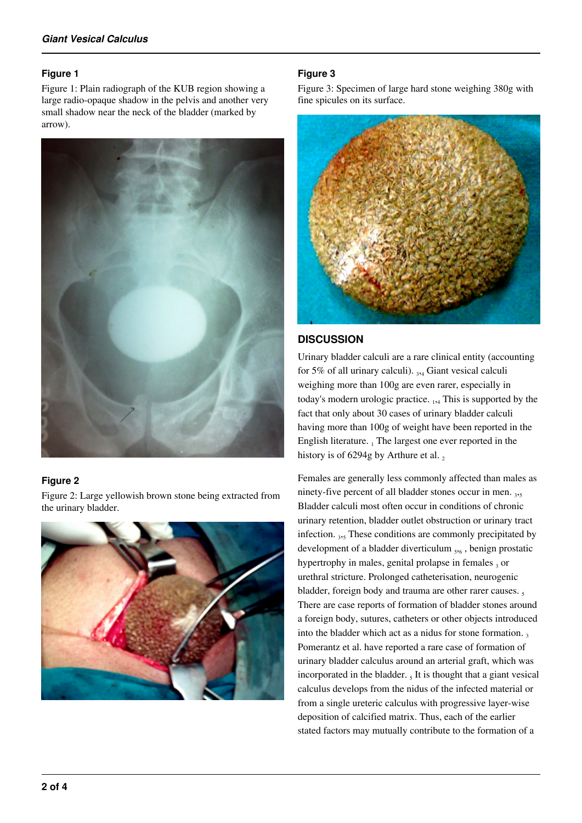#### **Figure 1**

Figure 1: Plain radiograph of the KUB region showing a large radio-opaque shadow in the pelvis and another very small shadow near the neck of the bladder (marked by arrow).



## **Figure 2**

Figure 2: Large yellowish brown stone being extracted from the urinary bladder.



## **Figure 3**

Figure 3: Specimen of large hard stone weighing 380g with fine spicules on its surface.



# **DISCUSSION**

Urinary bladder calculi are a rare clinical entity (accounting for 5% of all urinary calculi).  $_{3,4}$  Giant vesical calculi weighing more than 100g are even rarer, especially in today's modern urologic practice.  $_{1,4}$  This is supported by the fact that only about 30 cases of urinary bladder calculi having more than 100g of weight have been reported in the English literature.  $_1$  The largest one ever reported in the history is of 6294g by Arthure et al.  $_2$ 

Females are generally less commonly affected than males as ninety-five percent of all bladder stones occur in men. 3,5 Bladder calculi most often occur in conditions of chronic urinary retention, bladder outlet obstruction or urinary tract infection. 3,5 These conditions are commonly precipitated by development of a bladder diverticulum  $_{5,6}$ , benign prostatic hypertrophy in males, genital prolapse in females  $_3$  or urethral stricture. Prolonged catheterisation, neurogenic bladder, foreign body and trauma are other rarer causes. There are case reports of formation of bladder stones around a foreign body, sutures, catheters or other objects introduced into the bladder which act as a nidus for stone formation. Pomerantz et al. have reported a rare case of formation of urinary bladder calculus around an arterial graft, which was incorporated in the bladder.  $<sub>5</sub>$  It is thought that a giant vesical</sub> calculus develops from the nidus of the infected material or from a single ureteric calculus with progressive layer-wise deposition of calcified matrix. Thus, each of the earlier stated factors may mutually contribute to the formation of a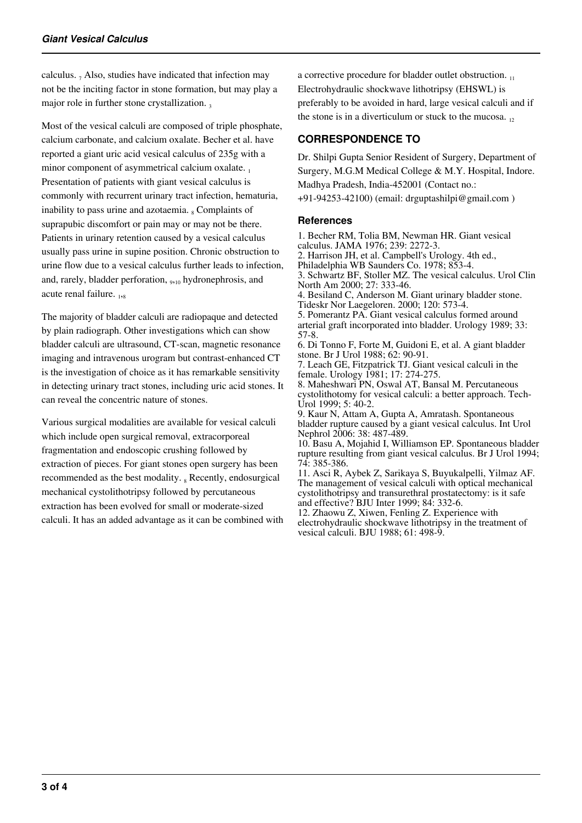calculus.  $_7$  Also, studies have indicated that infection may not be the inciting factor in stone formation, but may play a major role in further stone crystallization.

Most of the vesical calculi are composed of triple phosphate, calcium carbonate, and calcium oxalate. Becher et al. have reported a giant uric acid vesical calculus of 235g with a minor component of asymmetrical calcium oxalate. Presentation of patients with giant vesical calculus is commonly with recurrent urinary tract infection, hematuria, inability to pass urine and azotaemia. <sub>8</sub> Complaints of suprapubic discomfort or pain may or may not be there. Patients in urinary retention caused by a vesical calculus usually pass urine in supine position. Chronic obstruction to urine flow due to a vesical calculus further leads to infection, and, rarely, bladder perforation, <sub>9,10</sub> hydronephrosis, and acute renal failure. 1,8

The majority of bladder calculi are radiopaque and detected by plain radiograph. Other investigations which can show bladder calculi are ultrasound, CT-scan, magnetic resonance imaging and intravenous urogram but contrast-enhanced CT is the investigation of choice as it has remarkable sensitivity in detecting urinary tract stones, including uric acid stones. It can reveal the concentric nature of stones.

Various surgical modalities are available for vesical calculi which include open surgical removal, extracorporeal fragmentation and endoscopic crushing followed by extraction of pieces. For giant stones open surgery has been recommended as the best modality. <sub>8</sub> Recently, endosurgical mechanical cystolithotripsy followed by percutaneous extraction has been evolved for small or moderate-sized calculi. It has an added advantage as it can be combined with a corrective procedure for bladder outlet obstruction. Electrohydraulic shockwave lithotripsy (EHSWL) is preferably to be avoided in hard, large vesical calculi and if the stone is in a diverticulum or stuck to the mucosa.  $_{12}$ 

# **CORRESPONDENCE TO**

Dr. Shilpi Gupta Senior Resident of Surgery, Department of Surgery, M.G.M Medical College & M.Y. Hospital, Indore. Madhya Pradesh, India-452001 (Contact no.: +91-94253-42100) (email: drguptashilpi@gmail.com )

## **References**

1. Becher RM, Tolia BM, Newman HR. Giant vesical calculus. JAMA 1976; 239: 2272-3. 2. Harrison JH, et al. Campbell's Urology. 4th ed., Philadelphia WB Saunders Co. 1978; 853-4. 3. Schwartz BF, Stoller MZ. The vesical calculus. Urol Clin North Am 2000; 27: 333-46. 4. Besiland C, Anderson M. Giant urinary bladder stone. Tideskr Nor Laegeloren. 2000; 120: 573-4. 5. Pomerantz PA. Giant vesical calculus formed around arterial graft incorporated into bladder. Urology 1989; 33: 57-8. 6. Di Tonno F, Forte M, Guidoni E, et al. A giant bladder stone. Br J Urol 1988; 62: 90-91. 7. Leach GE, Fitzpatrick TJ. Giant vesical calculi in the female. Urology 1981; 17: 274-275. 8. Maheshwari PN, Oswal AT, Bansal M. Percutaneous

cystolithotomy for vesical calculi: a better approach. Tech-Urol 1999; 5: 40-2. 9. Kaur N, Attam A, Gupta A, Amratash. Spontaneous

bladder rupture caused by a giant vesical calculus. Int Urol Nephrol 2006: 38: 487-489.

10. Basu A, Mojahid I, Williamson EP. Spontaneous bladder rupture resulting from giant vesical calculus. Br J Urol 1994; 74: 385-386.

11. Asci R, Aybek Z, Sarikaya S, Buyukalpelli, Yilmaz AF. The management of vesical calculi with optical mechanical cystolithotripsy and transurethral prostatectomy: is it safe and effective? BJU Inter 1999; 84: 332-6.

12. Zhaowu Z, Xiwen, Fenling Z. Experience with electrohydraulic shockwave lithotripsy in the treatment of vesical calculi. BJU 1988; 61: 498-9.